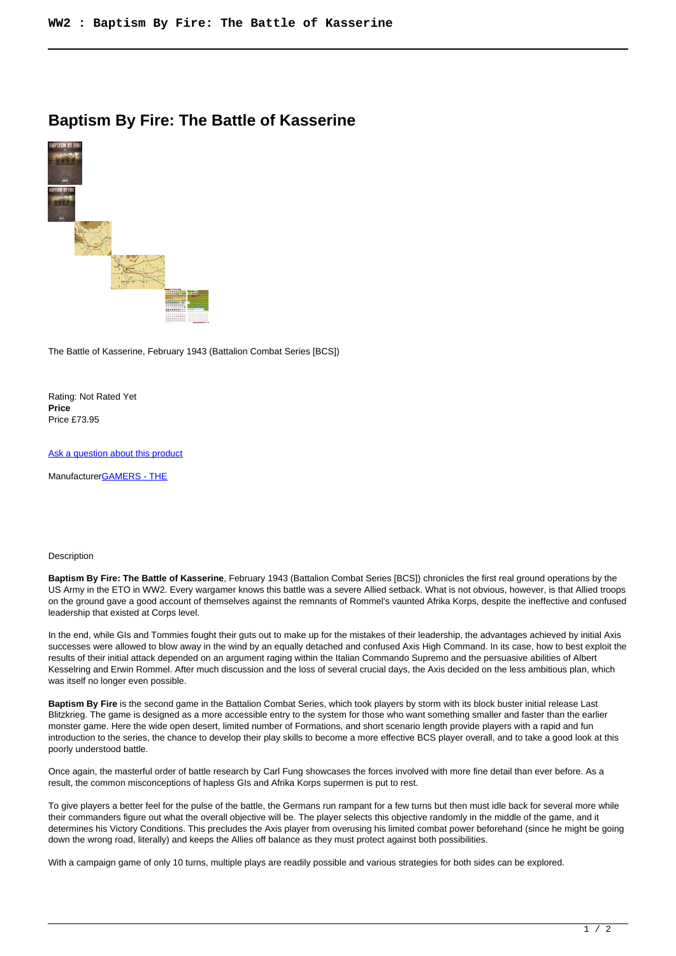## **Baptism By Fire: The Battle of Kasserine**



The Battle of Kasserine, February 1943 (Battalion Combat Series [BCS])

Rating: Not Rated Yet **Price**  Price £73.95

[Ask a question about this product](https://www.secondchancegames.com/index.php?option=com_virtuemart&view=productdetails&task=askquestion&virtuemart_product_id=9714&virtuemart_category_id=5&tmpl=component)

Manufacturer[GAMERS - THE](https://www.secondchancegames.com/index.php?option=com_virtuemart&view=manufacturer&virtuemart_manufacturer_id=2518&tmpl=component)

## Description

**Baptism By Fire: The Battle of Kasserine**, February 1943 (Battalion Combat Series [BCS]) chronicles the first real ground operations by the US Army in the ETO in WW2. Every wargamer knows this battle was a severe Allied setback. What is not obvious, however, is that Allied troops on the ground gave a good account of themselves against the remnants of Rommel's vaunted Afrika Korps, despite the ineffective and confused leadership that existed at Corps level.

In the end, while GIs and Tommies fought their guts out to make up for the mistakes of their leadership, the advantages achieved by initial Axis successes were allowed to blow away in the wind by an equally detached and confused Axis High Command. In its case, how to best exploit the results of their initial attack depended on an argument raging within the Italian Commando Supremo and the persuasive abilities of Albert Kesselring and Erwin Rommel. After much discussion and the loss of several crucial days, the Axis decided on the less ambitious plan, which was itself no longer even possible.

**Baptism By Fire** is the second game in the Battalion Combat Series, which took players by storm with its block buster initial release Last Blitzkrieg. The game is designed as a more accessible entry to the system for those who want something smaller and faster than the earlier monster game. Here the wide open desert, limited number of Formations, and short scenario length provide players with a rapid and fun introduction to the series, the chance to develop their play skills to become a more effective BCS player overall, and to take a good look at this poorly understood battle.

Once again, the masterful order of battle research by Carl Fung showcases the forces involved with more fine detail than ever before. As a result, the common misconceptions of hapless GIs and Afrika Korps supermen is put to rest.

To give players a better feel for the pulse of the battle, the Germans run rampant for a few turns but then must idle back for several more while their commanders figure out what the overall objective will be. The player selects this objective randomly in the middle of the game, and it determines his Victory Conditions. This precludes the Axis player from overusing his limited combat power beforehand (since he might be going down the wrong road, literally) and keeps the Allies off balance as they must protect against both possibilities.

With a campaign game of only 10 turns, multiple plays are readily possible and various strategies for both sides can be explored.